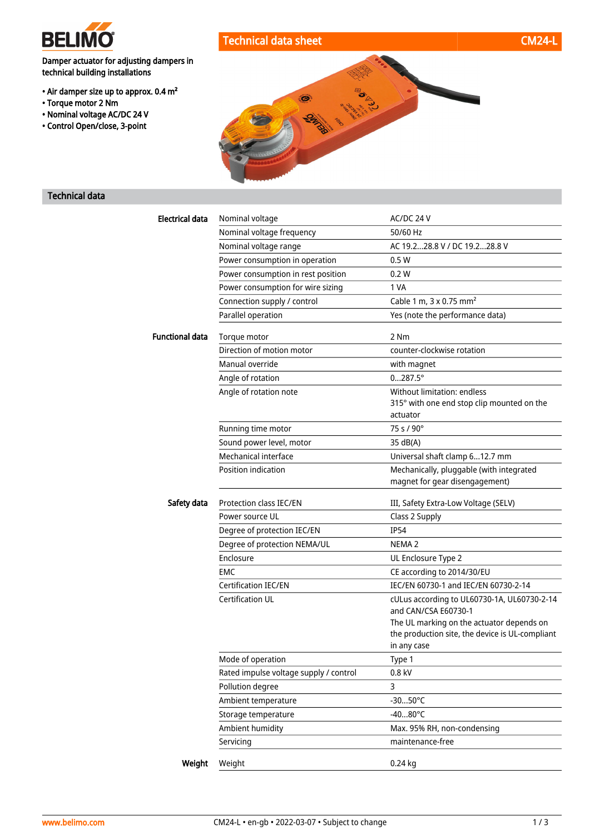

## Technical data sheet CM24-L

Damper actuator for adjusting dampers in technical building installations

- Air damper size up to approx. 0.4 m²
- Torque motor 2 Nm
- Nominal voltage AC/DC 24 V
- Control Open/close, 3-point



### Technical data

| <b>Electrical data</b> | Nominal voltage                        | AC/DC 24 V                                                                 |
|------------------------|----------------------------------------|----------------------------------------------------------------------------|
|                        | Nominal voltage frequency              | 50/60 Hz                                                                   |
|                        | Nominal voltage range                  | AC 19.228.8 V / DC 19.228.8 V                                              |
|                        | Power consumption in operation         | 0.5W                                                                       |
|                        | Power consumption in rest position     | 0.2 W                                                                      |
|                        | Power consumption for wire sizing      | 1 VA                                                                       |
|                        | Connection supply / control            | Cable 1 m, 3 x 0.75 mm <sup>2</sup>                                        |
|                        | Parallel operation                     | Yes (note the performance data)                                            |
| Functional data        | Torque motor                           | 2 Nm                                                                       |
|                        | Direction of motion motor              | counter-clockwise rotation                                                 |
|                        | Manual override                        | with magnet                                                                |
|                        | Angle of rotation                      | $0287.5^{\circ}$                                                           |
|                        | Angle of rotation note                 | Without limitation: endless                                                |
|                        |                                        | 315° with one end stop clip mounted on the                                 |
|                        |                                        | actuator                                                                   |
|                        | Running time motor                     | 75 s / 90°                                                                 |
|                        | Sound power level, motor               | 35 dB(A)                                                                   |
|                        | Mechanical interface                   | Universal shaft clamp 612.7 mm                                             |
|                        | Position indication                    | Mechanically, pluggable (with integrated<br>magnet for gear disengagement) |
| Safety data            | Protection class IEC/EN                | III, Safety Extra-Low Voltage (SELV)                                       |
|                        | Power source UL                        | Class 2 Supply                                                             |
|                        | Degree of protection IEC/EN            | <b>IP54</b>                                                                |
|                        | Degree of protection NEMA/UL           | NEMA <sub>2</sub>                                                          |
|                        | Enclosure                              | UL Enclosure Type 2                                                        |
|                        | <b>EMC</b>                             | CE according to 2014/30/EU                                                 |
|                        | <b>Certification IEC/EN</b>            | IEC/EN 60730-1 and IEC/EN 60730-2-14                                       |
|                        | Certification UL                       | cULus according to UL60730-1A, UL60730-2-14<br>and CAN/CSA E60730-1        |
|                        |                                        | The UL marking on the actuator depends on                                  |
|                        |                                        | the production site, the device is UL-compliant                            |
|                        |                                        | in any case                                                                |
|                        | Mode of operation                      | Type 1                                                                     |
|                        | Rated impulse voltage supply / control | 0.8 kV                                                                     |
|                        | Pollution degree                       | 3                                                                          |
|                        | Ambient temperature                    | $-3050^{\circ}$ C                                                          |
|                        | Storage temperature                    | $-4080^{\circ}$ C                                                          |
|                        | Ambient humidity                       | Max. 95% RH, non-condensing                                                |
|                        | Servicing                              | maintenance-free                                                           |
| Weight                 | Weight                                 | $0.24$ kg                                                                  |
|                        |                                        |                                                                            |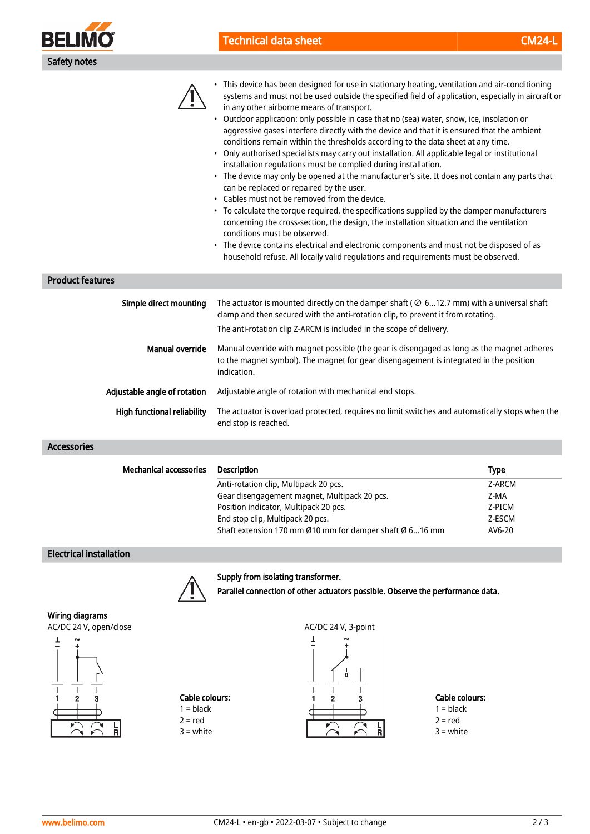

## Technical data sheet CM24-Like and CM24-Like and CM24-Like and CM24-Like and CM24-



• This device has been designed for use in stationary heating, ventilation and air-conditioning systems and must not be used outside the specified field of application, especially in aircraft or in any other airborne means of transport.

- Outdoor application: only possible in case that no (sea) water, snow, ice, insolation or aggressive gases interfere directly with the device and that it is ensured that the ambient conditions remain within the thresholds according to the data sheet at any time.
- Only authorised specialists may carry out installation. All applicable legal or institutional installation regulations must be complied during installation.
- The device may only be opened at the manufacturer's site. It does not contain any parts that can be replaced or repaired by the user.
- Cables must not be removed from the device.
- To calculate the torque required, the specifications supplied by the damper manufacturers concerning the cross-section, the design, the installation situation and the ventilation conditions must be observed.
- The device contains electrical and electronic components and must not be disposed of as household refuse. All locally valid regulations and requirements must be observed.

#### Product features

| Simple direct mounting       | The actuator is mounted directly on the damper shaft ( $\oslash$ 612.7 mm) with a universal shaft<br>clamp and then secured with the anti-rotation clip, to prevent it from rotating.<br>The anti-rotation clip Z-ARCM is included in the scope of delivery. |
|------------------------------|--------------------------------------------------------------------------------------------------------------------------------------------------------------------------------------------------------------------------------------------------------------|
| Manual override              | Manual override with magnet possible (the gear is disengaged as long as the magnet adheres<br>to the magnet symbol). The magnet for gear disengagement is integrated in the position<br>indication.                                                          |
| Adjustable angle of rotation | Adjustable angle of rotation with mechanical end stops.                                                                                                                                                                                                      |
| High functional reliability  | The actuator is overload protected, requires no limit switches and automatically stops when the<br>end stop is reached.                                                                                                                                      |

#### Accessories

| <b>Mechanical accessories</b> | <b>Description</b>                                      | Type   |
|-------------------------------|---------------------------------------------------------|--------|
|                               | Anti-rotation clip, Multipack 20 pcs.                   | Z-ARCM |
|                               | Gear disengagement magnet, Multipack 20 pcs.            | Z-MA   |
|                               | Position indicator, Multipack 20 pcs.                   | Z-PICM |
|                               | End stop clip, Multipack 20 pcs.                        | Z-ESCM |
|                               | Shaft extension 170 mm Ø10 mm for damper shaft Ø 616 mm | AV6-20 |

#### Electrical installation

Supply from isolating transformer.



Wiring diagrams



# Cable colours:  $1 = **black**$

 $2 = red$ 3 = white



Parallel connection of other actuators possible. Observe the performance data.

Cable colours:  $1 = **black**$ 

 $2 = red$  $3 =$  white